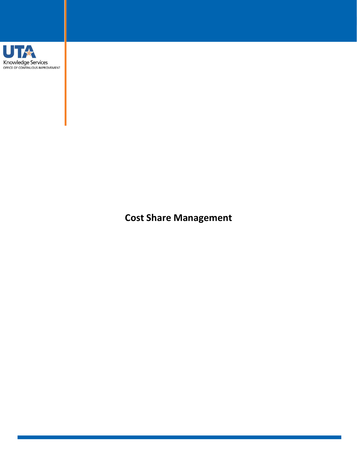

**Cost Share Management**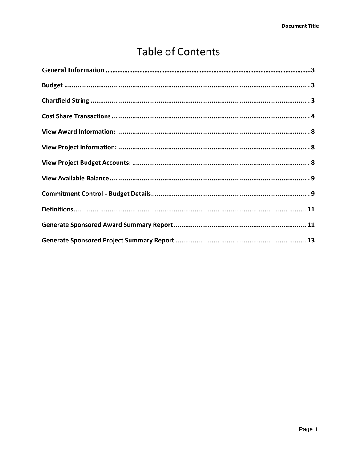# **Table of Contents**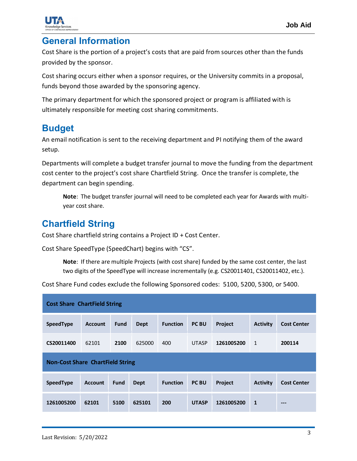

#### <span id="page-2-0"></span>**General Information**

Cost Share is the portion of a project's costs that are paid from sources other than the funds provided by the sponsor.

Cost sharing occurs either when a sponsor requires, or the University commits in a proposal, funds beyond those awarded by the sponsoring agency.

The primary department for which the sponsored project or program is affiliated with is ultimately responsible for meeting cost sharing commitments.

### <span id="page-2-1"></span>**Budget**

An email notification is sent to the receiving department and PI notifying them of the award setup.

Departments will complete a budget transfer journal to move the funding from the department cost center to the project's cost share Chartfield String. Once the transfer is complete, the department can begin spending.

**Note**: The budget transfer journal will need to be completed each year for Awards with multiyear cost share.

## <span id="page-2-2"></span>**Chartfield String**

Cost Share chartfield string contains a Project ID + Cost Center.

Cost Share SpeedType (SpeedChart) begins with "CS".

**Note**: If there are multiple Projects (with cost share) funded by the same cost center, the last two digits of the SpeedType will increase incrementally (e.g. CS20011401, CS20011402, etc.).

Cost Share Fund codes exclude the following Sponsored codes: 5100, 5200, 5300, or 5400.

| <b>Cost Share ChartField String</b>     |                |             |             |                 |              |            |                 |                    |  |  |
|-----------------------------------------|----------------|-------------|-------------|-----------------|--------------|------------|-----------------|--------------------|--|--|
| SpeedType                               | <b>Account</b> | <b>Fund</b> | <b>Dept</b> | <b>Function</b> | <b>PC BU</b> | Project    | <b>Activity</b> | <b>Cost Center</b> |  |  |
| CS20011400                              | 62101          | 2100        | 625000      | 400             | <b>UTASP</b> | 1261005200 | $\mathbf{1}$    | 200114             |  |  |
| <b>Non-Cost Share ChartField String</b> |                |             |             |                 |              |            |                 |                    |  |  |
| SpeedType                               | <b>Account</b> | <b>Fund</b> | <b>Dept</b> | <b>Function</b> | <b>PC BU</b> | Project    | <b>Activity</b> | <b>Cost Center</b> |  |  |
| 1261005200                              | 62101          | 5100        | 625101      | 200             | <b>UTASP</b> | 1261005200 | 1               | $---$              |  |  |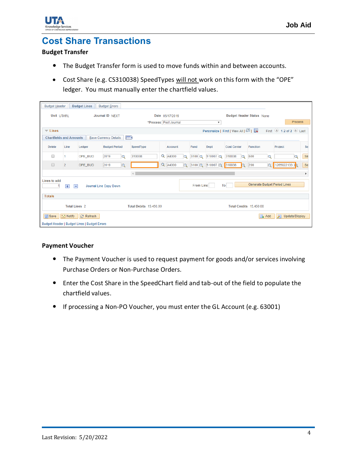



### <span id="page-3-0"></span>**Cost Share Transactions**

#### **Budget Transfer**

- The Budget Transfer form is used to move funds within and between accounts.
- Cost Share (e.g. CS310038) SpeedTypes will not work on this form with the "OPE" ledger. You must manually enter the chartfield values.

| <b>Budget Header</b>                                                             |                                                                                                                                  |                                            | <b>Budget Lines</b> | <b>Budget Errors</b>         |                          |          |                         |                  |                           |                                  |                              |          |                |           |
|----------------------------------------------------------------------------------|----------------------------------------------------------------------------------------------------------------------------------|--------------------------------------------|---------------------|------------------------------|--------------------------|----------|-------------------------|------------------|---------------------------|----------------------------------|------------------------------|----------|----------------|-----------|
|                                                                                  | Unit UTARL                                                                                                                       |                                            |                     | Journal ID NEXT              |                          |          | Date 05/17/2019         |                  |                           | <b>Budget Header Status None</b> |                              |          |                |           |
|                                                                                  |                                                                                                                                  |                                            |                     |                              |                          |          | *Process   Post Journal |                  | $\boldsymbol{\mathrm{v}}$ |                                  |                              |          | <b>Process</b> |           |
|                                                                                  | First $\bigcirc$ 1-2 of 2 $\bigcirc$ Last<br>Personalize   Find   View All   <sup>[과</sup>   ま<br>$\overline{\phantom{a}}$ Lines |                                            |                     |                              |                          |          |                         |                  |                           |                                  |                              |          |                |           |
|                                                                                  |                                                                                                                                  | <b>Chartfields and Amounts</b>             |                     | <b>Base Currency Details</b> | $\ket{m}$                |          |                         |                  |                           |                                  |                              |          |                |           |
| <b>Delete</b>                                                                    |                                                                                                                                  | Line                                       | Ledger              | <b>Budget Period</b>         | SpeedType                |          | <b>Account</b>          | Fund             | <b>Dept</b>               | <b>Cost Center</b>               | <b>Function</b>              |          | Project        | Se        |
| ┌                                                                                |                                                                                                                                  |                                            | OPE_BUD             | 2019<br>$\overline{Q}$       | 310038                   | Q        | A4000<br>$\overline{Q}$ | $3100$ $\alpha$  | 510007Q                   | 310038<br>$\alpha$               | 600                          | $\Omega$ | $\overline{Q}$ | Se        |
| $\Box$                                                                           |                                                                                                                                  | $\overline{2}$                             | OPE_BUD             | 2019<br>$\mathsf Q$          |                          | $\alpha$ | A4000<br>$\mathsf{Q}$   |                  | 3100 Q 510007 Q           | 310038<br>$\Omega$               | 200                          |          | Q 1265022133 Q | <b>Se</b> |
|                                                                                  |                                                                                                                                  |                                            |                     |                              | $\left\  \cdot \right\ $ |          |                         |                  |                           |                                  |                              |          |                |           |
| Lines to add                                                                     |                                                                                                                                  | $\overline{+}$<br>$\overline{\phantom{0}}$ |                     | Journal Line Copy Down       |                          |          |                         | <b>From Line</b> | To                        |                                  | Generate Budget Period Lines |          |                |           |
| <b>Totals</b>                                                                    |                                                                                                                                  |                                            |                     |                              |                          |          |                         |                  |                           |                                  |                              |          |                |           |
| <b>Total Lines 2</b><br><b>Total Debits 15,450.00</b><br>Total Credits 15,450.00 |                                                                                                                                  |                                            |                     |                              |                          |          |                         |                  |                           |                                  |                              |          |                |           |
|                                                                                  | <b>日</b> Save<br><b>E</b> Notify<br>$\odot$ Refresh<br>$\Box$ Add<br>Я<br>Update/Display                                         |                                            |                     |                              |                          |          |                         |                  |                           |                                  |                              |          |                |           |
|                                                                                  | Budget Header   Budget Lines   Budget Errors                                                                                     |                                            |                     |                              |                          |          |                         |                  |                           |                                  |                              |          |                |           |

#### **Payment Voucher**

- The Payment Voucher is used to request payment for goods and/or services involving Purchase Orders or Non-Purchase Orders.
- Enter the Cost Share in the SpeedChart field and tab-out of the field to populate the chartfield values.
- If processing a Non-PO Voucher, you must enter the GL Account (e.g. 63001)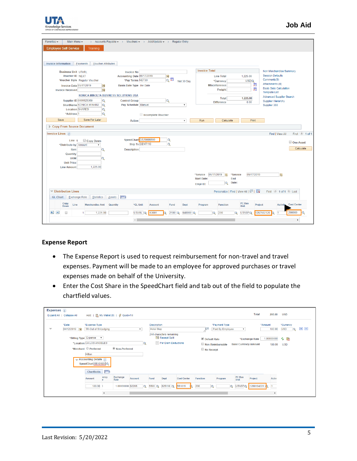

| Favorites -<br>Main Menu -                                                                                                                                                                               | > Accounts Payable $\star$ > Vouchers $\star$ > Add/Update $\star$ > Regular Entry                                                                                                                                 |                                          |                                           |                           |                                                                                                                                |                                             |                                                                                                                                                                                                                                         |                                        |
|----------------------------------------------------------------------------------------------------------------------------------------------------------------------------------------------------------|--------------------------------------------------------------------------------------------------------------------------------------------------------------------------------------------------------------------|------------------------------------------|-------------------------------------------|---------------------------|--------------------------------------------------------------------------------------------------------------------------------|---------------------------------------------|-----------------------------------------------------------------------------------------------------------------------------------------------------------------------------------------------------------------------------------------|----------------------------------------|
|                                                                                                                                                                                                          |                                                                                                                                                                                                                    |                                          |                                           |                           |                                                                                                                                |                                             |                                                                                                                                                                                                                                         |                                        |
| <b>Employee Self-Service</b><br><b>Training</b>                                                                                                                                                          |                                                                                                                                                                                                                    |                                          |                                           |                           |                                                                                                                                |                                             |                                                                                                                                                                                                                                         |                                        |
| <b>Invoice Information</b><br>Payments                                                                                                                                                                   | <b>Voucher Attributes</b>                                                                                                                                                                                          |                                          |                                           |                           |                                                                                                                                |                                             |                                                                                                                                                                                                                                         |                                        |
| <b>Business Unit UTARL</b><br><b>Voucher ID NEXT</b><br>Voucher Style Regular Voucher<br><b>Invoice Date 05/17/2019</b><br><b>Invoice Received</b><br>Supplier ID 0000025369<br>ShortName KONICA MIN-002 | <b>Invoice No</b><br>Accounting Date 05/17/2019<br>*Pay Terms NET30<br>Basis Date Type Inv Date<br>D<br>h<br>KONICA MINOLTA BUSINESS SOLUTIONS USA<br>Q<br><b>Control Group</b><br>$\alpha$<br>Pay Schedule Manual | $\alpha$                                 | ■<br>◎ <sup>麵</sup><br>Net 30 Day         | $\boldsymbol{\mathrm{v}}$ | <b>Invoice Total</b><br><b>Line Total</b><br>*Currency<br><b>Miscellaneous</b><br>Freight<br><b>Total</b><br><b>Difference</b> | 1.225.00<br><b>USDQ</b><br>1,225.00<br>0.00 | Non Merchandise Summary<br><b>Session Defaults</b><br>Comments(0)<br>Attachments (0)<br>圜<br><b>Basis Date Calculation</b><br>屬<br><b>Template List</b><br><b>Advanced Supplier Search</b><br><b>Supplier Hierarchy</b><br>Supplier 360 |                                        |
| <b>Location SHARED</b><br>*Address <sub>1</sub><br>Save For Later<br>Save                                                                                                                                | $\overline{\mathbf{Q}}$<br>$\alpha$<br><b>Action</b>                                                                                                                                                               | Incomplete Voucher                       |                                           | $\boldsymbol{\mathrm{v}}$ | Run                                                                                                                            | Print<br>Calculate                          |                                                                                                                                                                                                                                         |                                        |
| <b>Copy From Source Document</b>                                                                                                                                                                         |                                                                                                                                                                                                                    |                                          |                                           |                           |                                                                                                                                |                                             |                                                                                                                                                                                                                                         |                                        |
| Invoice Lines (?)<br>Line 1<br>Copy Down<br>*Distribute by Amount<br>Item<br><b>Quantity</b><br><b>UOM</b><br><b>Unit Price</b><br>1,225.00<br><b>Line Amount</b>                                        | $\overline{\mathbf{v}}$<br><b>Description</b><br>Q<br>Q                                                                                                                                                            | SpeedChart CS20008900<br>Ship To CENT110 | $\overline{Q}$<br>$\overline{\mathbf{Q}}$ | <b>Start Date:</b>        | *Service 05/17/2019 [5]                                                                                                        | 05/17/2019<br>*Service<br>End               | Find   View All<br>間                                                                                                                                                                                                                    | First 1 of 1<br>One Asset<br>Calculate |
|                                                                                                                                                                                                          |                                                                                                                                                                                                                    |                                          |                                           | Empl ID:                  |                                                                                                                                | Date:<br>$\alpha$                           |                                                                                                                                                                                                                                         |                                        |
| $\blacktriangledown$ Distribution Lines                                                                                                                                                                  |                                                                                                                                                                                                                    |                                          |                                           |                           |                                                                                                                                | Personalize   Find   View All   2           | First 1 of 1 2 Last                                                                                                                                                                                                                     |                                        |
| <b>GL Chart</b><br><b>Exchange Rate</b>                                                                                                                                                                  | m<br>Statistics<br>Assets                                                                                                                                                                                          |                                          |                                           |                           |                                                                                                                                |                                             |                                                                                                                                                                                                                                         |                                        |
| Copy<br>Line<br><b>Merchandise Amt</b><br>Down                                                                                                                                                           | *GL Unit<br>Quantity                                                                                                                                                                                               | <b>Account</b>                           | Fund                                      | <b>Dept</b>               | <b>Function</b><br>Program                                                                                                     | PC Bus<br><b>Unit</b>                       | Project<br><b>Activity</b>                                                                                                                                                                                                              | <b>Cost Center</b>                     |
| $+$<br>$\equiv$<br>□<br>1                                                                                                                                                                                | 1,225.00                                                                                                                                                                                                           | 63001<br>UTARL Q                         | $2100$ <sup>Q</sup>                       | 640000 Q                  | 200<br>$\alpha$                                                                                                                | UTASP <sub>Q</sub><br>$\bullet$             | 1267502120                                                                                                                                                                                                                              | 200089                                 |
|                                                                                                                                                                                                          | $\left\vert 1\right\rangle$                                                                                                                                                                                        |                                          |                                           |                           |                                                                                                                                |                                             |                                                                                                                                                                                                                                         | $\mathbf{r}$                           |

#### **Expense Report**

- The Expense Report is used to request reimbursement for non-travel and travel expenses. Payment will be made to an employee for approved purchases or travel expenses made on behalf of the University.
- Enter the Cost Share in the SpeedChart field and tab out of the field to populate the chartfield values.

| Expenses 2               | Expand All   Collapse All |                                                                                                                                                                                         |                                                                | Add:   R My Wallet (0)   多 Quick-Fill |                           |                                         |                                                                                     |                    |                                   |                                   |                             | <b>Total</b>   | 200.00                       | <b>USD</b>              |         |
|--------------------------|---------------------------|-----------------------------------------------------------------------------------------------------------------------------------------------------------------------------------------|----------------------------------------------------------------|---------------------------------------|---------------------------|-----------------------------------------|-------------------------------------------------------------------------------------|--------------------|-----------------------------------|-----------------------------------|-----------------------------|----------------|------------------------------|-------------------------|---------|
| $\overline{\phantom{a}}$ | *Date<br>04/12/2019 问     | *Expense Type<br>TR-Out of St-Lodging                                                                                                                                                   |                                                                |                                       | $\boldsymbol{\mathrm{v}}$ | <b>Description</b><br><b>Hotel Stay</b> |                                                                                     |                    | 년                                 | *Payment Type<br>Paid By Employee | $\boldsymbol{\mathrm{v}}$   |                | *Amount<br>180.00            | *Currency<br><b>USD</b> | EE<br>Е |
|                          |                           | *Billing Type Expense<br>$\boldsymbol{\mathrm{v}}$<br>*Location CA LOS ANGELES<br>*Merchant Preferred<br><b>Hilton</b><br>$\rightarrow$ Accounting Details $(2)$<br>SpeedChart 55101900 |                                                                | <sup>O</sup> Non-Preferred            | Q                         |                                         | 244 characters remaining<br><b>He Receipt Split</b><br><b>E</b> Per Diem Deductions |                    | Default Rate<br>$\Box$ No Receipt | Non-Reimbursable                  | <b>Base Currency Amount</b> | *Exchange Rate | 1.00000000<br>180.00         | ゆ 脂<br><b>USD</b>       |         |
|                          |                           | <b>Chartfields</b><br><b>Amount</b>                                                                                                                                                     | $\vert \overline{r} \overline{r} \overline{r} \rangle$<br>ency | Exchange<br>Rate                      | <b>Account</b>            | Fund                                    | Dept                                                                                | <b>Cost Center</b> | <b>Function</b>                   | Program                           | PC Bus<br>Unit              | Project        | <b>Activ</b>                 |                         |         |
|                          |                           | 180.00                                                                                                                                                                                  | $\blacktriangleleft$                                           | 1.00000000 62206                      | $\Omega$                  | 5500 Q                                  | 625110 Q                                                                            | 551019             | 200<br>$\alpha$                   | $\alpha$                          | UTASPQ                      | 1260104220     | $\mathbf{1}$<br>$\mathbb{R}$ |                         |         |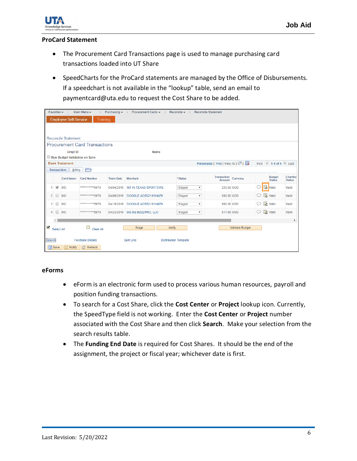

#### **ProCard Statement**

- The Procurement Card Transactions page is used to manage purchasing card transactions loaded into UT Share
- SpeedCharts for the ProCard statements are managed by the Office of Disbursements. If a speedchart is not available in the "lookup" table, send an email to paymentcard@uta.edu to request the Cost Share to be added.

| Favorites $\star$<br>Main Menu -<br>Purchasing $\star$ ><br>Procurement Cards $\star \rightarrow$ Reconcile $\star \rightarrow$<br><b>Reconcile Statement</b><br>$\mathcal{P}$ |                                                                                               |                                                        |                                      |                   |                                 |                                     |                                     |                 |   |                                           |               |
|--------------------------------------------------------------------------------------------------------------------------------------------------------------------------------|-----------------------------------------------------------------------------------------------|--------------------------------------------------------|--------------------------------------|-------------------|---------------------------------|-------------------------------------|-------------------------------------|-----------------|---|-------------------------------------------|---------------|
|                                                                                                                                                                                | <b>Employee Self-Service</b><br><b>Training</b>                                               |                                                        |                                      |                   |                                 |                                     |                                     |                 |   |                                           |               |
|                                                                                                                                                                                |                                                                                               |                                                        |                                      |                   |                                 |                                     |                                     |                 |   |                                           |               |
|                                                                                                                                                                                |                                                                                               |                                                        |                                      |                   |                                 |                                     |                                     |                 |   |                                           |               |
|                                                                                                                                                                                |                                                                                               | <b>Reconcile Statement</b>                             |                                      |                   |                                 |                                     |                                     |                 |   |                                           |               |
|                                                                                                                                                                                |                                                                                               |                                                        | <b>Procurement Card Transactions</b> |                   |                                 |                                     |                                     |                 |   |                                           |               |
|                                                                                                                                                                                |                                                                                               | Empl ID                                                |                                      |                   | <b>Name</b>                     |                                     |                                     |                 |   |                                           |               |
|                                                                                                                                                                                |                                                                                               | Run Budget Validation on Save<br><b>Bank Statement</b> |                                      |                   |                                 |                                     | Personalize   Find   View All   2   |                 |   | First $\bigcirc$ 1-4 of 4 $\bigcirc$ Last |               |
|                                                                                                                                                                                |                                                                                               | <b>Transaction</b><br>Billing                          | $\ket{m}$                            |                   |                                 |                                     |                                     |                 |   |                                           |               |
|                                                                                                                                                                                |                                                                                               |                                                        |                                      |                   |                                 |                                     |                                     |                 |   |                                           | Chartfiel     |
|                                                                                                                                                                                |                                                                                               | <b>Card Issuer</b>                                     | <b>Card Number</b>                   | <b>Trans Date</b> | <b>Merchant</b>                 | *Status                             | <b>Transaction</b><br><b>Amount</b> | Currency        |   | <b>Budget</b><br><b>Status</b>            | <b>Status</b> |
|                                                                                                                                                                                | $\overline{\mathcal{L}}$                                                                      | <b>MC</b>                                              | ************ 5979                    | 04/04/2019        | INT IN TEXAS SPORTSWE           | Staged<br>$\boldsymbol{\mathrm{v}}$ | 220.56 USD                          |                 |   | <mark>最</mark> Valid                      | Valid         |
| $\overline{2}$                                                                                                                                                                 |                                                                                               | <b>MC</b>                                              | *********** 5979                     | 04/09/2019        | GOOGLE ADS5210114679            | Staged<br>$\boldsymbol{\mathrm{v}}$ | 500.00 USD                          |                 |   | 最 Valid                                   | Valid         |
| 3                                                                                                                                                                              |                                                                                               | <b>MC</b>                                              | ************5979                     |                   | 04/19/2019 GOOGLE ADS5210114679 | Staged<br>$\boldsymbol{\mathrm{v}}$ | 500.00 USD                          |                 |   | 最 Valid                                   | Valid         |
| 4                                                                                                                                                                              | $\Box$                                                                                        | <b>MC</b>                                              | ***********5979                      |                   | 04/23/2019 SQ SQ BUZZPRO, LLC   | Staged<br>$\boldsymbol{\mathrm{v}}$ | 517.65 USD                          |                 | O | 最 Valid                                   | Valid         |
|                                                                                                                                                                                |                                                                                               |                                                        |                                      |                   |                                 |                                     |                                     |                 |   |                                           |               |
| $\blacksquare$                                                                                                                                                                 | Select All                                                                                    |                                                        | $\Box$ Clear All                     |                   | Stage<br>Verify                 |                                     |                                     | Validate Budget |   |                                           |               |
|                                                                                                                                                                                | <b>Purchase Details</b><br><b>Search</b><br><b>Split Line</b><br><b>Distribution Template</b> |                                                        |                                      |                   |                                 |                                     |                                     |                 |   |                                           |               |
|                                                                                                                                                                                | <b>日</b> Save<br><b>Fill Notify</b><br><b>C</b> Refresh                                       |                                                        |                                      |                   |                                 |                                     |                                     |                 |   |                                           |               |

#### **eForms**

- eForm is an electronic form used to process various human resources, payroll and position funding transactions.
- To search for a Cost Share, click the **Cost Center** or **Project** lookup icon. Currently, the SpeedType field is not working. Enter the **Cost Center** or **Project** number associated with the Cost Share and then click **Search**. Make your selection from the search results table.
- The **Funding End Date** is required for Cost Shares. It should be the end of the assignment, the project or fiscal year; whichever date is first.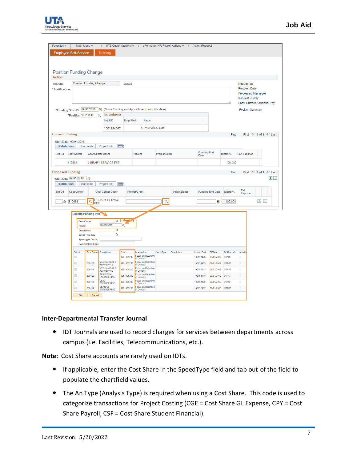

| Main Menu -<br>UTZ Customizations $\star \rightarrow$ eForms for HR/Payroll Actions $\star \rightarrow$<br>Favorites -<br><b>Action Request</b><br>$\rightarrow$<br><b>Employee Self-Service</b> |                                                    |                                                |                                             |                                                    |                                                       |                      |                      |                    |                         |              |                                                              |                                         |         |
|--------------------------------------------------------------------------------------------------------------------------------------------------------------------------------------------------|----------------------------------------------------|------------------------------------------------|---------------------------------------------|----------------------------------------------------|-------------------------------------------------------|----------------------|----------------------|--------------------|-------------------------|--------------|--------------------------------------------------------------|-----------------------------------------|---------|
|                                                                                                                                                                                                  |                                                    |                                                | Training                                    |                                                    |                                                       |                      |                      |                    |                         |              |                                                              |                                         |         |
|                                                                                                                                                                                                  |                                                    |                                                |                                             |                                                    |                                                       |                      |                      |                    |                         |              |                                                              |                                         |         |
|                                                                                                                                                                                                  |                                                    |                                                |                                             |                                                    |                                                       |                      |                      |                    |                         |              |                                                              |                                         |         |
| <b>Action</b>                                                                                                                                                                                    | <b>Position Funding Change</b>                     |                                                |                                             |                                                    |                                                       |                      |                      |                    |                         |              |                                                              |                                         |         |
| <b>Actions</b>                                                                                                                                                                                   |                                                    | <b>Position Funding Change</b>                 | $\overline{\mathbf{v}}$                     | <b>Status</b>                                      |                                                       |                      |                      |                    |                         |              | <b>Request ID</b>                                            |                                         |         |
| *Justification                                                                                                                                                                                   |                                                    |                                                |                                             |                                                    |                                                       |                      |                      |                    |                         |              | <b>Request Date</b>                                          |                                         |         |
|                                                                                                                                                                                                  |                                                    |                                                |                                             |                                                    |                                                       |                      |                      |                    |                         |              | <b>Processing Messages</b>                                   |                                         |         |
|                                                                                                                                                                                                  |                                                    |                                                |                                             |                                                    |                                                       |                      |                      |                    |                         |              | <b>Request History</b><br><b>Show Current Additional Pay</b> |                                         |         |
|                                                                                                                                                                                                  |                                                    | E                                              |                                             |                                                    | (Show Funding and Appointments from this date)        |                      |                      |                    |                         |              | <b>Position Summary</b>                                      |                                         |         |
|                                                                                                                                                                                                  | *Funding Start Dt 09/01/2018<br>*Position 10011130 | $\circ$                                        | <b>Incumbents</b>                           |                                                    |                                                       |                      |                      |                    |                         |              |                                                              |                                         |         |
|                                                                                                                                                                                                  |                                                    |                                                | Empl ID                                     | <b>Empl Rcd</b>                                    | <b>Name</b>                                           |                      |                      |                    |                         |              |                                                              |                                         |         |
|                                                                                                                                                                                                  |                                                    |                                                | 1001234567                                  |                                                    | 0 Maverick, Sam                                       |                      |                      |                    |                         |              |                                                              |                                         |         |
| <b>Current Funding</b>                                                                                                                                                                           |                                                    |                                                |                                             |                                                    |                                                       |                      |                      |                    |                         | Find         |                                                              | First $\bigcirc$ 1 of 1 $\bigcirc$ Last |         |
|                                                                                                                                                                                                  | Start Date 09/01/2018                              |                                                |                                             |                                                    |                                                       |                      |                      |                    |                         |              |                                                              |                                         |         |
|                                                                                                                                                                                                  | <b>Distribution</b>                                | Chartfields                                    | Project Info                                | $E = 0$                                            |                                                       |                      |                      |                    |                         |              |                                                              |                                         |         |
| Ern Cd                                                                                                                                                                                           | <b>Cost Center</b>                                 | <b>Cost Center Descr</b>                       |                                             |                                                    | Project                                               | <b>Project Descr</b> |                      | <b>Funding End</b> |                         | Distrb %     | <b>Est. Expense</b>                                          |                                         |         |
|                                                                                                                                                                                                  |                                                    |                                                |                                             |                                                    |                                                       |                      |                      | Date               |                         |              |                                                              |                                         |         |
|                                                                                                                                                                                                  | 310683                                             |                                                | <b>LIBRARY SERVICE FEE</b>                  |                                                    |                                                       |                      |                      |                    |                         | 100.000      |                                                              |                                         |         |
|                                                                                                                                                                                                  | <b>Proposed Funding</b>                            |                                                |                                             |                                                    |                                                       |                      |                      |                    |                         | Find         |                                                              | First $\bigcirc$ 1 of 1 $\bigcirc$ Last |         |
|                                                                                                                                                                                                  | *Start Date 09/01/2018                             | BU                                             |                                             |                                                    |                                                       |                      |                      |                    |                         |              |                                                              |                                         | $+$ $-$ |
|                                                                                                                                                                                                  |                                                    |                                                |                                             |                                                    |                                                       |                      |                      |                    |                         |              |                                                              |                                         |         |
| <b>Distribution</b>                                                                                                                                                                              |                                                    | Chartfields                                    | Project Info                                | $  \overline{r} \overline{r} \overline{r} \rangle$ |                                                       |                      |                      |                    |                         |              |                                                              |                                         |         |
| Ern Cd                                                                                                                                                                                           | <b>Cost Center</b>                                 |                                                | <b>Cost Center Descr</b>                    |                                                    | <b>Project/Grant</b>                                  |                      | <b>Project Descr</b> |                    | <b>Funding End Date</b> | Distrb %     | Est.                                                         |                                         |         |
|                                                                                                                                                                                                  |                                                    |                                                |                                             |                                                    |                                                       |                      |                      |                    |                         |              | Expense                                                      |                                         |         |
| $\mathbf{\Omega}$                                                                                                                                                                                | 310683                                             | $\mathbf Q$<br>FEE                             | <b>LIBRARY SERVICE</b>                      |                                                    |                                                       | $\mathbf Q$          |                      |                    | h                       | 100.000      |                                                              | $+$ $-$                                 |         |
|                                                                                                                                                                                                  |                                                    |                                                |                                             |                                                    |                                                       |                      |                      |                    |                         |              |                                                              |                                         |         |
|                                                                                                                                                                                                  |                                                    | <b>Lookup Funding Info</b>                     |                                             |                                                    |                                                       |                      |                      |                    |                         |              |                                                              |                                         |         |
|                                                                                                                                                                                                  |                                                    | <b>Cost Center</b>                             | $\overline{\mathbf{Q}}$                     | <b>Search</b>                                      |                                                       |                      |                      |                    |                         |              |                                                              |                                         |         |
|                                                                                                                                                                                                  | Project                                            |                                                | 1261005200                                  | Q                                                  |                                                       |                      |                      |                    |                         |              |                                                              |                                         |         |
|                                                                                                                                                                                                  |                                                    | <b>Department</b>                              | $\overline{Q}$<br>Q                         |                                                    |                                                       |                      |                      |                    |                         |              |                                                              |                                         |         |
|                                                                                                                                                                                                  |                                                    | <b>SpeedType Key</b><br><b>Speedtype Descr</b> |                                             |                                                    |                                                       |                      |                      |                    |                         |              |                                                              |                                         |         |
|                                                                                                                                                                                                  |                                                    | <b>Combination Code</b>                        |                                             |                                                    |                                                       |                      |                      |                    |                         |              |                                                              |                                         |         |
|                                                                                                                                                                                                  | Select                                             |                                                |                                             | Project                                            | <b>Description</b>                                    | SpeedType            | <b>Description</b>   | <b>Combo Code</b>  | <b>Eff Date</b>         | PC Bus Unit  | Activity                                                     |                                         |         |
|                                                                                                                                                                                                  | $\Box$                                             | Cost Center Description                        |                                             | 1261005200                                         | Focus on Retention                                    |                      |                      | 100152426          | 09/01/2013              | <b>UTASP</b> | 1                                                            |                                         |         |
|                                                                                                                                                                                                  | $\qquad \qquad \Box$                               | 200118                                         | <b>MECHANICAL &amp;</b><br><b>AEROSPACE</b> | 1261005200                                         | in Cohorts<br><b>Focus on Retention</b><br>in Cohorts |                      |                      | 100154415          | 09/01/2014              | UTASP        | 1                                                            |                                         |         |
|                                                                                                                                                                                                  | $\Box$                                             | 200118                                         | <b>MECHANICAL &amp;</b><br><b>AEROSPACE</b> | 1261005200                                         | Focus on Retention<br>in Cohorts                      |                      |                      | 100152413          | 09/01/2013              | <b>UTASP</b> | 1                                                            |                                         |         |
|                                                                                                                                                                                                  | $\qquad \qquad \Box$                               | 200120                                         | <b>INDUSTRIAL</b><br><b>ENGINEERING</b>     | 1261005200                                         | Focus on Retention<br>in Cohorts                      |                      |                      | 100152410          | 09/01/2013 UTASP        |              | 1                                                            |                                         |         |
|                                                                                                                                                                                                  | $\Box$                                             | 200116                                         | CIVIL<br><b>ENGINEERING</b>                 | 1261005200                                         | Focus on Retention<br>in Cohorts                      |                      |                      | 100152409          | 09/01/2013              | <b>UTASP</b> | f,                                                           |                                         |         |
|                                                                                                                                                                                                  | $\qquad \qquad \Box$                               | 200114                                         | <b>DEAN OF</b><br><b>ENGINEERING</b>        | 1261005200                                         | Focus on Retention<br>in Cohorts                      |                      |                      | 100152407          | 09/01/2013 UTASP        |              | 1                                                            |                                         |         |

#### **Inter-Departmental Transfer Journal**

 IDT Journals are used to record charges for services between departments across campus (i.e. Facilities, Telecommunications, etc.).

**Note:** Cost Share accounts are rarely used on IDTs.

- If applicable, enter the Cost Share in the SpeedType field and tab out of the field to populate the chartfield values.
- The An Type (Analysis Type) is required when using a Cost Share. This code is used to categorize transactions for Project Costing (CGE = Cost Share GL Expense, CPY = Cost Share Payroll, CSF = Cost Share Student Financial).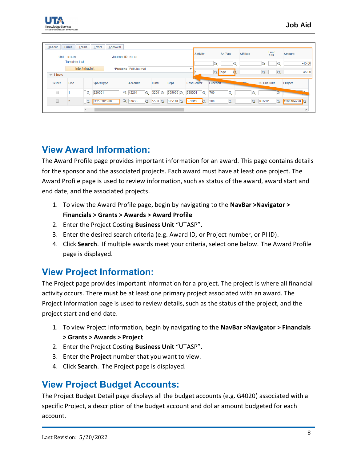

| Header                         | Lines                |                 | Totals   Errors   Approval |             |                       |          |                 |                          |                    |                 |                 |         |                  |              |               |               |          |
|--------------------------------|----------------------|-----------------|----------------------------|-------------|-----------------------|----------|-----------------|--------------------------|--------------------|-----------------|-----------------|---------|------------------|--------------|---------------|---------------|----------|
|                                | Unit UTARL           |                 |                            |             | Journal ID NEXT       |          |                 |                          |                    | <b>Activity</b> |                 | An Type | <b>Affiliate</b> |              | Fund<br>Affil | <b>Amount</b> |          |
|                                | <b>Template List</b> |                 |                            |             |                       |          |                 |                          |                    |                 | $\Omega$        | G       |                  | u            | a             |               | $-45.00$ |
|                                |                      | Inter/IntraUnit |                            |             | *Process Edit Journal |          |                 |                          |                    |                 | $Q_{\rm I}$     | cge     |                  | u            |               |               | 45.00    |
| $\overline{\phantom{a}}$ Lines |                      |                 |                            |             |                       |          |                 |                          |                    |                 |                 |         |                  |              |               |               |          |
| <b>Select</b>                  | Line                 |                 | SpeedType                  |             | Account               |          | Fund            | Dept                     | <b>Cost Center</b> |                 | <b>Function</b> |         |                  | PC Bus Unit  |               | Project       |          |
| □                              |                      | $\alpha$        | 320001                     | $\mathbf Q$ | 42201                 | $\Omega$ | $3200$ $\alpha$ | 305000 Q                 | 320001             | $\alpha$        | 700             |         | $\mathbf Q$      |              |               |               |          |
| Ō                              | $\overline{2}$       | $\overline{Q}$  | CS55101900                 |             | Q 63633               | $\Omega$ |                 | $5500$ Q 625110 Q 551019 |                    | $\Omega$        | 200             |         | $\mathbf Q$      | <b>UTASP</b> | $\Omega$      | 1260104220 Q  |          |
|                                |                      |                 |                            |             |                       |          |                 |                          |                    |                 |                 |         |                  |              |               | $\mathbf{r}$  |          |

## <span id="page-7-0"></span>**View Award Information:**

The Award Profile page provides important information for an award. This page contains details for the sponsor and the associated projects. Each award must have at least one project. The Award Profile page is used to review information, such as status of the award, award start and end date, and the associated projects.

- 1. To view the Award Profile page, begin by navigating to the **NavBar >Navigator > Financials > Grants > Awards > Award Profile**
- 2. Enter the Project Costing **Business Unit** "UTASP".
- 3. Enter the desired search criteria (e.g. Award ID, or Project number, or PI ID).
- 4. Click **Search**. If multiple awards meet your criteria, select one below. The Award Profile page is displayed.

## <span id="page-7-1"></span>**View Project Information:**

The Project page provides important information for a project. The project is where all financial activity occurs. There must be at least one primary project associated with an award. The Project Information page is used to review details, such as the status of the project, and the project start and end date.

- 1. To view Project Information, begin by navigating to the **NavBar >Navigator > Financials > Grants > Awards > Project**
- 2. Enter the Project Costing **Business Unit** "UTASP".
- 3. Enter the **Project** number that you want to view.
- 4. Click **Search**. The Project page is displayed.

## <span id="page-7-2"></span>**View Project Budget Accounts:**

The Project Budget Detail page displays all the budget accounts (e.g. G4020) associated with a specific Project, a description of the budget account and dollar amount budgeted for each account.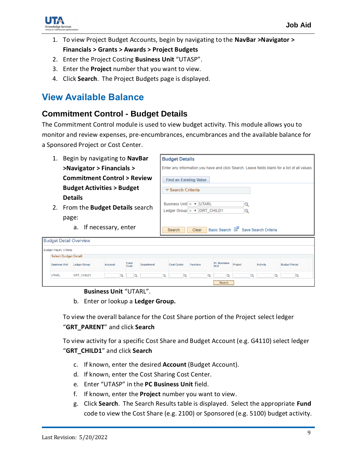

- 1. To view Project Budget Accounts, begin by navigating to the **NavBar >Navigator > Financials > Grants > Awards > Project Budgets**
- 2. Enter the Project Costing **Business Unit** "UTASP".
- 3. Enter the **Project** number that you want to view.
- 4. Click **Search**. The Project Budgets page is displayed.

### <span id="page-8-0"></span>**View Available Balance**

#### <span id="page-8-1"></span>**Commitment Control - Budget Details**

The Commitment Control module is used to view budget activity. This module allows you to monitor and review expenses, pre-encumbrances, encumbrances and the available balance for a Sponsored Project or Cost Center.

|                                                                                             |                                | Begin by navigating to NavBar         |  |  |  | <b>Budget Details</b>                                                                         |                                      |                                                                                                       |                            |         |                      |                      |  |
|---------------------------------------------------------------------------------------------|--------------------------------|---------------------------------------|--|--|--|-----------------------------------------------------------------------------------------------|--------------------------------------|-------------------------------------------------------------------------------------------------------|----------------------------|---------|----------------------|----------------------|--|
|                                                                                             |                                | >Navigator > Financials >             |  |  |  | Enter any information you have and click Search. Leave fields blank for a list of all values. |                                      |                                                                                                       |                            |         |                      |                      |  |
|                                                                                             |                                | <b>Commitment Control &gt; Review</b> |  |  |  | <b>Find an Existing Value</b>                                                                 |                                      |                                                                                                       |                            |         |                      |                      |  |
| <b>Budget Activities &gt; Budget</b>                                                        |                                |                                       |  |  |  |                                                                                               | $\blacktriangledown$ Search Criteria |                                                                                                       |                            |         |                      |                      |  |
| <b>Details</b><br>2. From the Budget Details search<br>page:<br>If necessary, enter<br>a.   |                                |                                       |  |  |  |                                                                                               | Search                               | Business Unit $=$ $\blacktriangledown$ IUTARL<br>Ledger Group $= \sqrt{\frac{1}{10}}$ CHILD1<br>Clear | Basic Search               |         | Save Search Criteria |                      |  |
|                                                                                             |                                | <b>Budget Detail Overview</b>         |  |  |  |                                                                                               |                                      |                                                                                                       |                            |         |                      |                      |  |
|                                                                                             | <b>Budget Inquiry Criteria</b> |                                       |  |  |  |                                                                                               |                                      |                                                                                                       |                            |         |                      |                      |  |
|                                                                                             | <b>Select Budget Detail</b>    |                                       |  |  |  |                                                                                               |                                      |                                                                                                       |                            |         |                      |                      |  |
| Fund<br><b>Business Unit</b><br><b>Ledger Group</b><br><b>Department</b><br>Account<br>Code |                                |                                       |  |  |  |                                                                                               | <b>Cost Center</b>                   | <b>Function</b>                                                                                       | <b>PC Business</b><br>Unit | Project | <b>Activity</b>      | <b>Budget Period</b> |  |
| <b>UTARL</b><br><b>GRT_CHILD1</b><br>$\circ$                                                |                                |                                       |  |  |  | $\circ$<br>$\circ$<br>Q<br>$\circ$<br>$\circ$                                                 |                                      |                                                                                                       |                            |         |                      |                      |  |
|                                                                                             |                                |                                       |  |  |  |                                                                                               |                                      |                                                                                                       | Search                     |         |                      |                      |  |

#### **Business Unit** "UTARL".

b. Enter or lookup a **Ledger Group.**

To view the overall balance for the Cost Share portion of the Project select ledger "**GRT\_PARENT**" and click **Search**

To view activity for a specific Cost Share and Budget Account (e.g. G4110) select ledger "**GRT\_CHILD1**" and click **Search**

- c. If known, enter the desired **Account** (Budget Account).
- d. If known, enter the Cost Sharing Cost Center.
- e. Enter "UTASP" in the **PC Business Unit** field.
- f. If known, enter the **Project** number you want to view.
- g. Click **Search**. The Search Results table is displayed. Select the appropriate **Fund** code to view the Cost Share (e.g. 2100) or Sponsored (e.g. 5100) budget activity.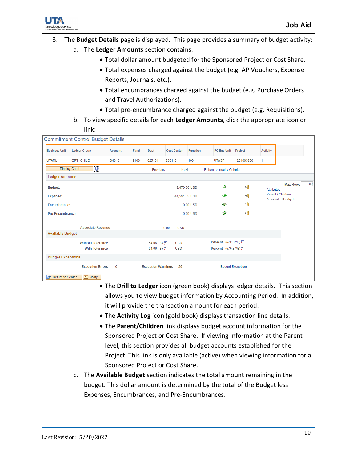

- 3. The **Budget Details** page is displayed. This page provides a summary of budget activity:
	- a. The **Ledger Amounts** section contains:
		- Total dollar amount budgeted for the Sponsored Project or Cost Share.
		- Total expenses charged against the budget (e.g. AP Vouchers, Expense Reports, Journals, etc.).
		- Total encumbrances charged against the budget (e.g. Purchase Orders and Travel Authorizations).
		- Total pre-encumbrance charged against the budget (e.g. Requisitions).
	- b. To view specific details for each **Ledger Amounts**, click the appropriate icon or link:

|                          | <b>Commitment Control Budget Details</b> |                |      |                           |                    |                 |                            |                          |                 |                                                |
|--------------------------|------------------------------------------|----------------|------|---------------------------|--------------------|-----------------|----------------------------|--------------------------|-----------------|------------------------------------------------|
| <b>Business Unit</b>     | <b>Ledger Group</b>                      | <b>Account</b> | Fund | Dept                      | <b>Cost Center</b> | <b>Function</b> | PC Bus Unit                | Project                  | <b>Activity</b> |                                                |
| <b>UTARL</b>             | <b>GRT_CHILD1</b>                        | G4010          | 2100 | 625101                    | 200116             | 100             | <b>UTASP</b>               | 1261005200               | 1               |                                                |
|                          | $\bullet$<br><b>Display Chart</b>        |                |      | Previous                  | Next               |                 | Return to Inquiry Criteria |                          |                 |                                                |
| <b>Ledger Amounts</b>    |                                          |                |      |                           |                    |                 |                            |                          |                 |                                                |
| <b>Budget:</b>           |                                          |                |      |                           |                    | 9,470.00 USD    |                            | 4                        | Attributes      | 100<br><b>Max Rows</b>                         |
| Expense:                 |                                          |                |      |                           | -44.591.35 USD     |                 | ◈                          | $\overline{\mathcal{A}}$ |                 | Parent / Children<br><b>Associated Budgets</b> |
| <b>Encumbrance:</b>      |                                          |                |      |                           |                    | 0.00 USD        |                            | $\leftrightarrow$        |                 |                                                |
| Pre-Encumbrance:         |                                          |                |      |                           |                    | $0.00$ USD      | ◈                          | $\leftrightarrow$        |                 |                                                |
|                          | <b>Associate Revenue</b>                 |                |      |                           | 0.00<br><b>USD</b> |                 |                            |                          |                 |                                                |
| <b>Available Budget</b>  |                                          |                |      |                           |                    |                 |                            |                          |                 |                                                |
|                          | <b>Without Tolerance</b>                 |                |      | 54,061.35 月               | <b>USD</b>         |                 | Percent (570.87%) 周        |                          |                 |                                                |
|                          | <b>With Tolerance</b>                    |                |      | 54,061.35 周               | <b>USD</b>         |                 | Percent (570.87%) 周        |                          |                 |                                                |
| <b>Budget Exceptions</b> |                                          |                |      |                           |                    |                 |                            |                          |                 |                                                |
|                          | <b>Exception Errors</b>                  | $\mathbf 0$    |      | <b>Exception Warnings</b> | 26                 |                 |                            | <b>Budget Exceptions</b> |                 |                                                |
| াক<br>Return to Search   | <b>Fill Notify</b>                       |                |      |                           |                    |                 |                            |                          |                 |                                                |

- The **Drill to Ledger** icon (green book) displays ledger details. This section allows you to view budget information by Accounting Period. In addition, it will provide the transaction amount for each period.
- The **Activity Log** icon (gold book) displays transaction line details.
- The **Parent/Children** link displays budget account information for the Sponsored Project or Cost Share. If viewing information at the Parent level, this section provides all budget accounts established for the Project. This link is only available (active) when viewing information for a Sponsored Project or Cost Share.
- c. The **Available Budget** section indicates the total amount remaining in the budget. This dollar amount is determined by the total of the Budget less Expenses, Encumbrances, and Pre-Encumbrances.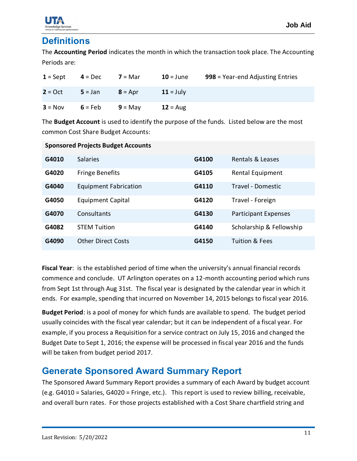### <span id="page-10-0"></span>**Definitions**

The **Accounting Period** indicates the month in which the transaction took place. The Accounting Periods are:

| $1 =$ Sept | $4 = Dec$ | $7 = Mar$ | $10 =$ June | 998 = Year-end Adjusting Entries |
|------------|-----------|-----------|-------------|----------------------------------|
| $2 = Oct$  | $5 = Jan$ | $8 = Apr$ | $11 =$ July |                                  |
| $3 = Nov$  | $6 = Feb$ | $9 =$ May | $12 = Aug$  |                                  |

The **Budget Account** is used to identify the purpose of the funds. Listed below are the most common Cost Share Budget Accounts:

|       | <b>Sponsored Projects Budget Accounts</b> |       |                             |
|-------|-------------------------------------------|-------|-----------------------------|
| G4010 | <b>Salaries</b>                           | G4100 | Rentals & Leases            |
| G4020 | <b>Fringe Benefits</b>                    | G4105 | Rental Equipment            |
| G4040 | <b>Equipment Fabrication</b>              | G4110 | Travel - Domestic           |
| G4050 | <b>Equipment Capital</b>                  | G4120 | Travel - Foreign            |
| G4070 | Consultants                               | G4130 | <b>Participant Expenses</b> |
| G4082 | <b>STEM Tuition</b>                       | G4140 | Scholarship & Fellowship    |
| G4090 | <b>Other Direct Costs</b>                 | G4150 | Tuition & Fees              |

**Fiscal Year**: is the established period of time when the university's annual financial records commence and conclude. UT Arlington operates on a 12-month accounting period which runs from Sept 1st through Aug 31st. The fiscal year is designated by the calendar year in which it ends. For example, spending that incurred on November 14, 2015 belongs to fiscal year 2016.

**Budget Period**: is a pool of money for which funds are available to spend. The budget period usually coincides with the fiscal year calendar; but it can be independent of a fiscal year. For example, if you process a Requisition for a service contract on July 15, 2016 and changed the Budget Date to Sept 1, 2016; the expense will be processed in fiscal year 2016 and the funds will be taken from budget period 2017.

#### <span id="page-10-1"></span>**Generate Sponsored Award Summary Report**

The Sponsored Award Summary Report provides a summary of each Award by budget account (e.g. G4010 = Salaries, G4020 = Fringe, etc.). This report is used to review billing, receivable, and overall burn rates. For those projects established with a Cost Share chartfield string and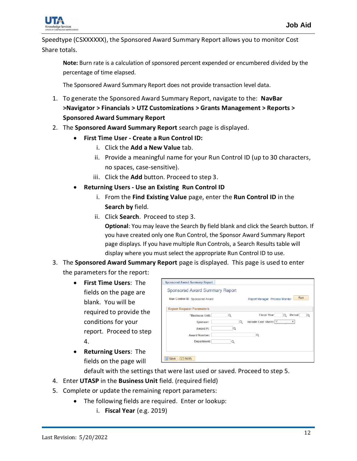

Speedtype (CSXXXXXX), the Sponsored Award Summary Report allows you to monitor Cost Share totals.

**Note:** Burn rate is a calculation of sponsored percent expended or encumbered divided by the percentage of time elapsed.

The Sponsored Award Summary Report does not provide transaction level data.

- 1. To generate the Sponsored Award Summary Report, navigate to the: **NavBar >Navigator > Financials > UTZ Customizations > Grants Management > Reports > Sponsored Award Summary Report**
- 2. The **Sponsored Award Summary Report** search page is displayed.
	- **First Time User - Create a Run Control ID:**
		- i. Click the **Add a New Value** tab.
		- ii. Provide a meaningful name for your Run Control ID (up to 30 characters, no spaces, case-sensitive).
		- iii. Click the **Add** button. Proceed to step 3.
	- **Returning Users - Use an Existing Run Control ID**
		- i. From the **Find Existing Value** page, enter the **Run Control ID** in the **Search by** field.
		- ii. Click **Search**. Proceed to step 3.

**Optional**: You may leave the Search By field blank and click the Search button. If you have created only one Run Control, the Sponsor Award Summary Report page displays. If you have multiple Run Controls, a Search Results table will display where you must select the appropriate Run Control ID to use.

#### 3. The **Sponsored Award Summary Report** page is displayed. This page is used to enter

the parameters for the report:

- **First Time Users**: The fields on the page are blank. You will be required to provide the conditions for your report. Proceed to step 4.
- **Returning Users**: The fields on the page will

| Run<br><b>Report Manager Process Monitor</b> |
|----------------------------------------------|
|                                              |
|                                              |
|                                              |
| <b>Fiscal Year</b><br>Period<br>Q<br>◠       |
| Include Cost Share: Y                        |
|                                              |
|                                              |
|                                              |
|                                              |
|                                              |

default with the settings that were last used or saved. Proceed to step 5.

- 4. Enter **UTASP** in the **Business Unit** field. (required field)
- 5. Complete or update the remaining report parameters:
	- The following fields are required. Enter or lookup:
		- i. **Fiscal Year** (e.g. 2019)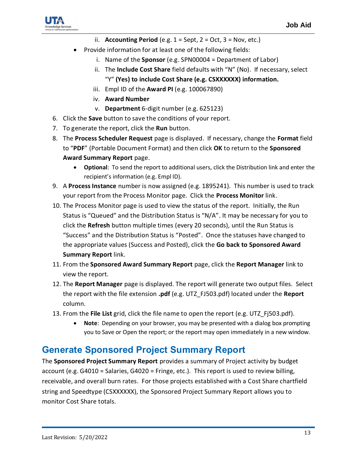

- ii. **Accounting Period** (e.g.  $1 =$  Sept,  $2 =$  Oct,  $3 =$  Nov, etc.)
- Provide information for at least one of the following fields:
	- i. Name of the **Sponsor** (e.g. SPN00004 = Department of Labor)
	- ii. The **Include Cost Share** field defaults with "N" (No). If necessary, select "Y" **(Yes) to include Cost Share (e.g. CSXXXXXX) information.**
	- iii. Empl ID of the **Award PI** (e.g. 100067890)
	- iv. **Award Number**
	- v. **Department** 6-digit number (e.g. 625123)
- 6. Click the **Save** button to save the conditions of your report.
- 7. To generate the report, click the **Run** button.
- 8. The **Process Scheduler Request** page is displayed. If necessary, change the **Format** field to "**PDF**" (Portable Document Format) and then click **OK** to return to the **Sponsored Award Summary Report** page.
	- **Optional**: To send the report to additional users, click the Distribution link and enter the recipient's information (e.g. Empl ID).
- 9. A **Process Instance** number is now assigned (e.g. 1895241). This number is used to track your report from the Process Monitor page. Click the **Process Monitor** link.
- 10. The Process Monitor page is used to view the status of the report. Initially, the Run Status is "Queued" and the Distribution Status is "N/A". It may be necessary for you to click the **Refresh** button multiple times (every 20 seconds), until the Run Status is "Success" and the Distribution Status is "Posted". Once the statuses have changed to the appropriate values (Success and Posted), click the **Go back to Sponsored Award Summary Report** link.
- 11. From the **Sponsored Award Summary Report** page, click the **Report Manager** link to view the report.
- 12. The **Report Manager** page is displayed. The report will generate two output files. Select the report with the file extension **.pdf** (e.g. UTZ\_FJ503.pdf) located under the **Report** column.
- 13. From the **File List** grid, click the file name to open the report (e.g. UTZ\_Fj503.pdf).
	- **Note**: Depending on your browser, you may be presented with a dialog box prompting you to Save or Open the report; or the report may open immediately in a new window.

### <span id="page-12-0"></span>**Generate Sponsored Project Summary Report**

The **Sponsored Project Summary Report** provides a summary of Project activity by budget account (e.g. G4010 = Salaries, G4020 = Fringe, etc.). This report is used to review billing, receivable, and overall burn rates. For those projects established with a Cost Share chartfield string and Speedtype (CSXXXXXX), the Sponsored Project Summary Report allows you to monitor Cost Share totals.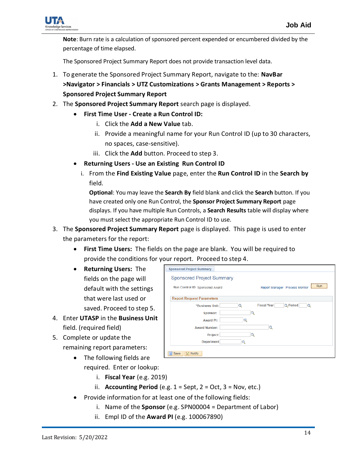

**Note**: Burn rate is a calculation of sponsored percent expended or encumbered divided by the percentage of time elapsed.

The Sponsored Project Summary Report does not provide transaction level data.

- 1. To generate the Sponsored Project Summary Report, navigate to the: **NavBar >Navigator > Financials > UTZ Customizations > Grants Management > Reports > Sponsored Project Summary Report**
- 2. The **Sponsored Project Summary Report** search page is displayed.
	- **First Time User - Create a Run Control ID:**
		- i. Click the **Add a New Value** tab.
		- ii. Provide a meaningful name for your Run Control ID (up to 30 characters, no spaces, case-sensitive).
		- iii. Click the **Add** button. Proceed to step 3.
	- **Returning Users - Use an Existing Run Control ID**
		- i. From the **Find Existing Value** page, enter the **Run Control ID** in the **Search by** field.

**Optional**: You may leave the **Search By** field blank and click the **Search** button. If you have created only one Run Control, the **Sponsor Project Summary Report** page displays. If you have multiple Run Controls, a **Search Results** table will display where you must select the appropriate Run Control ID to use.

- 3. The **Sponsored Project Summary Report** page is displayed. This page is used to enter the parameters for the report:
	- **First Time Users:** The fields on the page are blank. You will be required to provide the conditions for your report. Proceed to step 4.
	- **Returning Users:** The fields on the page will default with the settings that were last used or saved. Proceed to step 5.
- 4. Enter **UTASP** in the **Business Unit** field. (required field)
- 5. Complete or update the remaining report parameters:
- **Sponsored Project Summary Sponsored Project Summary** Report Manager Process Monitor Run Run Control ID Sponsored Award **Report Request Parameters**  $\alpha$ **Fiscal Year** Q Period \*Business Unit:  $\alpha$ Sponsor:  $\alpha$ **Award PI: Award Number:**  $\alpha$ Project:  $\alpha$ **Department**  $\overline{\mathbf{Q}}$ Save B Notify
- The following fields are required. Enter or lookup:
	- i. **Fiscal Year** (e.g. 2019)
	- ii. **Accounting Period** (e.g.  $1 =$  Sept,  $2 =$  Oct,  $3 =$  Nov, etc.)
- Provide information for at least one of the following fields:
	- i. Name of the **Sponsor** (e.g. SPN00004 = Department of Labor)
	- ii. Empl ID of the **Award PI** (e.g. 100067890)